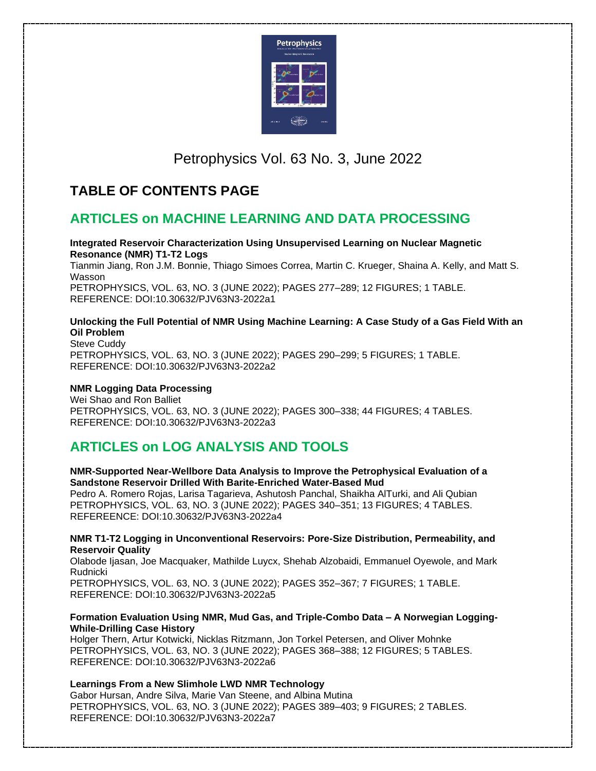

# Petrophysics Vol. 63 No. 3, June 2022

## **TABLE OF CONTENTS PAGE**

## **ARTICLES on MACHINE LEARNING AND DATA PROCESSING**

#### **Integrated Reservoir Characterization Using Unsupervised Learning on Nuclear Magnetic Resonance (NMR) T1-T2 Logs**

Tianmin Jiang, Ron J.M. Bonnie, Thiago Simoes Correa, Martin C. Krueger, Shaina A. Kelly, and Matt S. Wasson PETROPHYSICS, VOL. 63, NO. 3 (JUNE 2022); PAGES 277–289; 12 FIGURES; 1 TABLE.

REFERENCE: DOI:10.30632/PJV63N3-2022a1

#### **Unlocking the Full Potential of NMR Using Machine Learning: A Case Study of a Gas Field With an Oil Problem**

Steve Cuddy PETROPHYSICS, VOL. 63, NO. 3 (JUNE 2022); PAGES 290–299; 5 FIGURES; 1 TABLE. REFERENCE: DOI:10.30632/PJV63N3-2022a2

### **NMR Logging Data Processing**

Wei Shao and Ron Balliet PETROPHYSICS, VOL. 63, NO. 3 (JUNE 2022); PAGES 300–338; 44 FIGURES; 4 TABLES. REFERENCE: DOI:10.30632/PJV63N3-2022a3

# **ARTICLES on LOG ANALYSIS AND TOOLS**

#### **NMR-Supported Near-Wellbore Data Analysis to Improve the Petrophysical Evaluation of a Sandstone Reservoir Drilled With Barite-Enriched Water-Based Mud**

Pedro A. Romero Rojas, Larisa Tagarieva, Ashutosh Panchal, Shaikha AlTurki, and Ali Qubian PETROPHYSICS, VOL. 63, NO. 3 (JUNE 2022); PAGES 340–351; 13 FIGURES; 4 TABLES. REFEREENCE: DOI:10.30632/PJV63N3-2022a4

#### **NMR T1-T2 Logging in Unconventional Reservoirs: Pore-Size Distribution, Permeability, and Reservoir Quality**

Olabode Ijasan, Joe Macquaker, Mathilde Luycx, Shehab Alzobaidi, Emmanuel Oyewole, and Mark Rudnicki

PETROPHYSICS, VOL. 63, NO. 3 (JUNE 2022); PAGES 352–367; 7 FIGURES; 1 TABLE. REFERENCE: DOI:10.30632/PJV63N3-2022a5

#### **Formation Evaluation Using NMR, Mud Gas, and Triple-Combo Data – A Norwegian Logging-While-Drilling Case History**

Holger Thern, Artur Kotwicki, Nicklas Ritzmann, Jon Torkel Petersen, and Oliver Mohnke PETROPHYSICS, VOL. 63, NO. 3 (JUNE 2022); PAGES 368–388; 12 FIGURES; 5 TABLES. REFERENCE: DOI:10.30632/PJV63N3-2022a6

#### **Learnings From a New Slimhole LWD NMR Technology**

Gabor Hursan, Andre Silva, Marie Van Steene, and Albina Mutina PETROPHYSICS, VOL. 63, NO. 3 (JUNE 2022); PAGES 389–403; 9 FIGURES; 2 TABLES. REFERENCE: DOI:10.30632/PJV63N3-2022a7